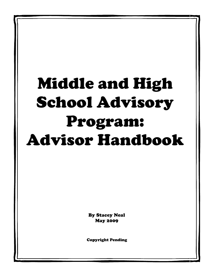# Middle and High School Advisory Program: Advisor Handbook

By Stacey Neal May 2009

Copyright Pending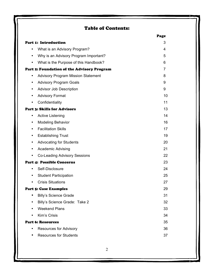## Table of Contents:

|                                                    | Page |
|----------------------------------------------------|------|
| <b>Part 1: Introduction</b>                        | 3    |
| What is an Advisory Program?<br>$\bullet$          | 4    |
| Why is an Advisory Program Important?<br>٠         | 5    |
| What is the Purpose of this Handbook?<br>$\bullet$ | 6    |
| Part 2: Foundation of the Advisory Program         | 7    |
| <b>Advisory Program Mission Statement</b><br>٠     | 8    |
| <b>Advisory Program Goals</b><br>٠                 | 9    |
| <b>Advisor Job Description</b><br>$\bullet$        | 9    |
| <b>Advisory Format</b><br>$\bullet$                | 10   |
| Confidentiality<br>$\bullet$                       | 11   |
| <b>Part 3: Skills for Advisors</b>                 | 13   |
| <b>Active Listening</b><br>$\bullet$               | 14   |
| <b>Modeling Behavior</b><br>٠                      | 16   |
| <b>Facilitation Skills</b><br>$\bullet$            | 17   |
| <b>Establishing Trust</b><br>٠                     | 19   |
| <b>Advocating for Students</b><br>$\bullet$        | 20   |
| Academic Advising<br>$\bullet$                     | 21   |
| <b>Co-Leading Advisory Sessions</b><br>$\bullet$   | 22   |
| <b>Part 4: Possible Concerns</b>                   | 23   |
| Self-Disclosure<br>$\bullet$                       | 24   |
| <b>Student Participation</b><br>$\bullet$          | 25   |
| <b>Crisis Situations</b><br>٠                      | 27   |
| <b>Part 5: Case Examples</b>                       | 29   |
| <b>Billy's Science Grade</b>                       | 31   |
| Billy's Science Grade: Take 2                      | 32   |
| <b>Weekend Plans</b>                               | 33   |
| Kim's Crisis                                       | 34   |
| <b>Part 6: Resources</b>                           | 35   |
| <b>Resources for Advisory</b>                      | 36   |
| <b>Resources for Students</b>                      | 37   |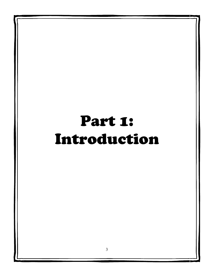## Part 1: Introduction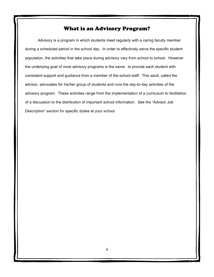## What is an Advisory Program?

Advisory is a program in which students meet regularly with a caring faculty member during a scheduled period in the school day. In order to effectively serve the specific student population, the activities that take place during advisory vary from school to school. However the underlying goal of most advisory programs is the same: to provide each student with consistent support and guidance from a member of the school staff. This adult, called the advisor, advocates for his/her group of students and runs the day-to-day activities of the advisory program. These activities range from the implementation of a curriculum to facilitation of a discussion to the distribution of important school information. See the "Advisor Job Description" section for specific duties at your school.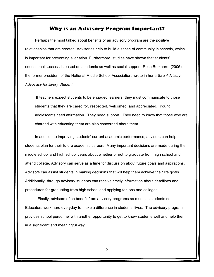#### Why is an Advisory Program Important?

Perhaps the most talked about benefits of an advisory program are the positive relationships that are created. Advisories help to build a sense of community in schools, which is important for preventing alienation. Furthermore, studies have shown that students' educational success is based on academic as well as social support. Rose Burkhardt (2005), the former president of the National Middle School Association, wrote in her article *Advisory: Advocacy for Every Student*:

If teachers expect students to be engaged learners, they must communicate to those students that they are cared for, respected, welcomed, and appreciated. Young adolescents need affirmation. They need support. They need to know that those who are charged with educating them are also concerned about them.

In addition to improving students' current academic performance, advisors can help students plan for their future academic careers. Many important decisions are made during the middle school and high school years about whether or not to graduate from high school and attend college. Advisory can serve as a time for discussion about future goals and aspirations. Advisors can assist students in making decisions that will help them achieve their life goals. Additionally, through advisory students can receive timely information about deadlines and procedures for graduating from high school and applying for jobs and colleges.

Finally, advisors often benefit from advisory programs as much as students do. Educators work hard everyday to make a difference in students' lives. The advisory program provides school personnel with another opportunity to get to know students well and help them in a significant and meaningful way.

5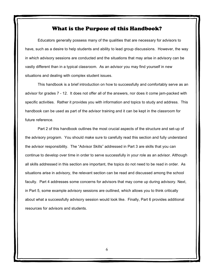#### What is the Purpose of this Handbook?

Educators generally possess many of the qualities that are necessary for advisors to have, such as a desire to help students and ability to lead group discussions. However, the way in which advisory sessions are conducted and the situations that may arise in advisory can be vastly different than in a typical classroom. As an advisor you may find yourself in new situations and dealing with complex student issues.

This handbook is a brief introduction on how to successfully and comfortably serve as an advisor for grades 7 - 12. It does not offer all of the answers, nor does it come jam-packed with specific activities. Rather it provides you with information and topics to study and address. This handbook can be used as part of the advisor training and it can be kept in the classroom for future reference.

Part 2 of this handbook outlines the most crucial aspects of the structure and set-up of the advisory program. You should make sure to carefully read this section and fully understand the advisor responsibility. The "Advisor Skills" addressed in Part 3 are skills that you can continue to develop over time in order to serve successfully in your role as an advisor. Although all skills addressed in this section are important, the topics do not need to be read in order. As situations arise in advisory, the relevant section can be read and discussed among the school faculty. Part 4 addresses some concerns for advisors that may come up during advisory. Next, in Part 5, some example advisory sessions are outlined, which allows you to think critically about what a successfully advisory session would look like. Finally, Part 6 provides additional resources for advisors and students.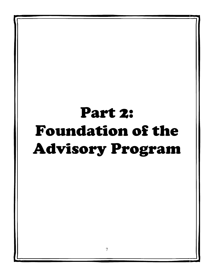## Part 2: Foundation of the Advisory Program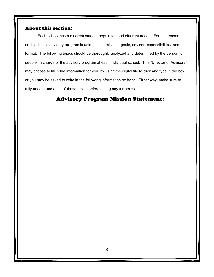#### About this section:

Each school has a different student population and different needs. For this reason each school's advisory program is unique in its mission, goals, advisor responsibilities, and format. The following topics should be thoroughly analyzed and determined by the person, or people, in charge of the advisory program at each individual school. This "Director of Advisory" may choose to fill in the information for you, by using the digital file to click and type in the box, or you may be asked to write in the following information by hand. Either way, make sure to fully understand each of these topics before taking any further steps!

## Advisory Program Mission Statement: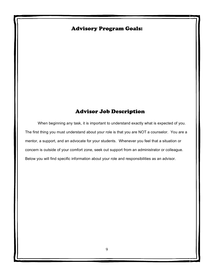## Advisory Program Goals:

## Advisor Job Description

When beginning any task, it is important to understand exactly what is expected of you. The first thing you must understand about your role is that you are NOT a counselor. You are a mentor, a support, and an advocate for your students. Whenever you feel that a situation or concern is outside of your comfort zone, seek out support from an administrator or colleague. Below you will find specific information about your role and responsibilities as an advisor.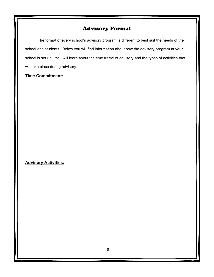## Advisory Format

The format of every school's advisory program is different to best suit the needs of the school and students. Below you will find information about how the advisory program at your school is set up. You will learn about the time frame of advisory and the types of activities that will take place during advisory.

#### **Time Commitment:**

#### **Advisory Activities:**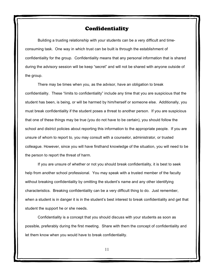#### Confidentiality

Building a trusting relationship with your students can be a very difficult and timeconsuming task. One way in which trust can be built is through the establishment of confidentiality for the group. Confidentiality means that any personal information that is shared during the advisory session will be keep "secret" and will not be shared with anyone outside of the group.

There may be times when you, as the advisor, have an obligation to break confidentiality. These "limits to confidentiality" include any time that you are suspicious that the student has been, is being, or will be harmed by him/herself or someone else. Additionally, you must break confidentiality if the student poses a threat to another person. If you are suspicious that one of these things may be true (you do not have to be certain), you should follow the school and district policies about reporting this information to the appropriate people. If you are unsure of whom to report to, you may consult with a counselor, administrator, or trusted colleague. However, since you will have firsthand knowledge of the situation, you will need to be the person to report the threat of harm.

If you are unsure of whether or not you should break confidentiality, it is best to seek help from another school professional. You may speak with a trusted member of the faculty without breaking confidentiality by omitting the student's name and any other identifying characteristics. Breaking confidentiality can be a very difficult thing to do. Just remember, when a student is in danger it is in the student's best interest to break confidentiality and get that student the support he or she needs.

Confidentiality is a concept that you should discuss with your students as soon as possible, preferably during the first meeting. Share with them the concept of confidentiality and let them know when you would have to break confidentiality.

11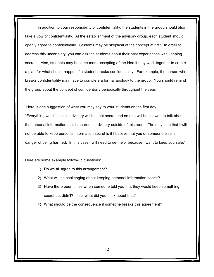In addition to your responsibility of confidentiality, the students in the group should also take a vow of confidentiality. At the establishment of the advisory group, each student should openly agree to confidentiality. Students may be skeptical of the concept at first. In order to address this uncertainty, you can ask the students about their past experiences with keeping secrets. Also, students may become more accepting of the idea if they work together to create a plan for what should happen if a student breaks confidentiality. For example, the person who breaks confidentiality may have to complete a formal apology to the group. You should remind the group about the concept of confidentially periodically throughout the year.

Here is one suggestion of what you may say to your students on the first day:

"Everything we discuss in advisory will be kept secret and no one will be allowed to talk about the personal information that is shared in advisory outside of this room. The only time that I will not be able to keep personal information secret is if I believe that you or someone else is in danger of being harmed. In this case I will need to get help, because I want to keep you safe."

Here are some example follow-up questions:

- 1) Do we all agree to this arrangement?
- 2) What will be challenging about keeping personal information secret?
- 3) Have there been times when someone told you that they would keep something secret but didn't? If so, what did you think about that?
- 4) What should be the consequence if someone breaks this agreement?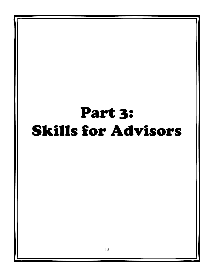## Part 3: Skills for Advisors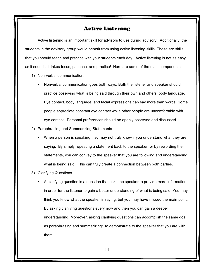### Active Listening

Active listening is an important skill for advisors to use during advisory. Additionally, the students in the advisory group would benefit from using active listening skills. These are skills that you should teach and practice with your students each day. Active listening is not as easy as it sounds; it takes focus, patience, and practice! Here are some of the main components:

- 1) Non-verbal communication:
	- Nonverbal communication goes both ways. Both the listener and speaker should practice observing what is being said through their own and others' body language. Eye contact, body language, and facial expressions can say more than words. Some people appreciate constant eye contact while other people are uncomfortable with eye contact. Personal preferences should be openly observed and discussed.
- 2) Paraphrasing and Summarizing Statements
	- When a person is speaking they may not truly know if you understand what they are saying. By simply repeating a statement back to the speaker, or by rewording their statements, you can convey to the speaker that you are following and understanding what is being said. This can truly create a connection between both parties.
- 3) Clarifying Questions
	- A clarifying question is a question that asks the speaker to provide more information in order for the listener to gain a better understanding of what is being said. You may think you know what the speaker is saying, but you may have missed the main point. By asking clarifying questions every now and then you can gain a deeper understanding. Moreover, asking clarifying questions can accomplish the same goal as paraphrasing and summarizing: to demonstrate to the speaker that you are with them.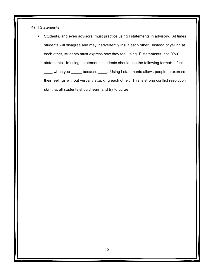- 4) I Statements:
	- Students, and even advisors, must practice using I statements in advisory. At times students will disagree and may inadvertently insult each other. Instead of yelling at each other, students must express how they feel using "I" statements, not "You" statements. In using I statements students should use the following format: I feel \_when you \_\_\_\_\_\_ because \_\_\_\_\_. Using I statements allows people to express their feelings without verbally attacking each other. This is strong conflict resolution skill that all students should learn and try to utilize.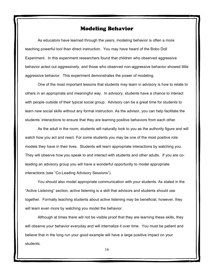#### Modeling Behavior

As educators have learned through the years, modeling behavior is often a more teaching powerful tool than direct instruction. You may have heard of the Bobo Doll Experiment. In this experiment researchers found that children who observed aggressive behavior acted out aggressively, and those who observed non-aggressive behavior showed little aggressive behavior. This experiment demonstrates the power of modeling.

One of the most important lessons that students may learn in advisory is how to relate to others in an appropriate and meaningful way. In advisory, students have a chance to interact with people outside of their typical social group. Advisory can be a great time for students to learn new social skills without any formal instruction. As the advisor, you can help facilitate the students' interactions to ensure that they are learning positive behaviors from each other.

As the adult in the room, students will naturally look to you as the authority figure and will watch how you act and react. For some students you may be one of the most positive role models they have in their lives. Students will learn appropriate interactions by watching you. They will observe how you speak to and interact with students and other adults. If you are coleading an advisory group you will have a wonderful opportunity to model appropriate interactions (see "Co-Leading Advisory Sessions").

You should also model appropriate communication with your students. As stated in the "Active Listening" section, active listening is a skill that advisors and students should use together. Formally teaching students about active listening may be beneficial, however, they will learn even more by watching you model the behavior.

Although at times there will not be visible proof that they are learning these skills, they will observe your behavior everyday and will internalize it over time. You must be patient and believe that in the long run your good example will have a large positive impact on your students.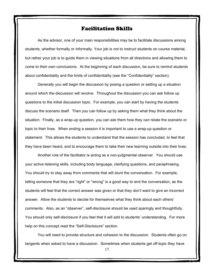#### Facilitation Skills

As the advisor, one of your main responsibilities may be to facilitate discussions among students, whether formally or informally. Your job is not to instruct students on course material, but rather your job is to guide them in viewing situations from all directions and allowing them to come to their own conclusions. At the beginning of each discussion, be sure to remind students about confidentiality and the limits of confidentiality (see the "Confidentiality" section).

Generally you will begin the discussion by posing a question or setting up a situation around which the discussion will revolve. Throughout the discussion you can ask follow up questions to the initial discussion topic. For example, you can start by having the students discuss the scenario itself. Then you can follow up by asking them what they think about the situation. Finally, as a wrap-up question, you can ask them how they can relate the scenario or topic to their lives. When ending a session it is important to use a wrap-up question or statement. This allows the students to understand that the session has concluded, to feel that they have been heard, and to encourage them to take their new learning outside into their lives.

Another role of the facilitator is acting as a non-judgmental observer. You should use your active listening skills, including body language, clarifying questions, and paraphrasing. You should try to stay away from comments that will stunt the conversation. For example, telling someone that they are "right" or "wrong" is a good way to end the conversation, as the students will feel that the correct answer was given or that they don't want to give an incorrect answer. Allow the students to decide for themselves what they think about each others' comments. Also, as an "observer", self-disclosure should be used sparingly and thoughtfully. You should only self-disclosure if you feel that it will add to students' understanding. For more help on this concept read the "Self-Disclosure" section.

You will need to provide structure and cohesion to the discussion. Students often go on tangents when asked to have a discussion. Sometimes when students get off-topic they have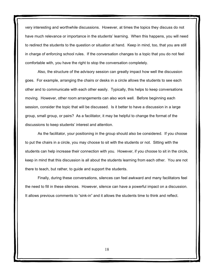very interesting and worthwhile discussions. However, at times the topics they discuss do not have much relevance or importance in the students' learning. When this happens, you will need to redirect the students to the question or situation at hand. Keep in mind, too, that you are still in charge of enforcing school rules. If the conversation changes to a topic that you do not feel comfortable with, you have the right to stop the conversation completely.

Also, the structure of the advisory session can greatly impact how well the discussion goes. For example, arranging the chairs or desks in a circle allows the students to see each other and to communicate with each other easily. Typically, this helps to keep conversations moving. However, other room arrangements can also work well. Before beginning each session, consider the topic that will be discussed. Is it better to have a discussion in a large group, small group, or pairs? As a facilitator, it may be helpful to change the format of the discussions to keep students' interest and attention.

As the facilitator, your positioning in the group should also be considered. If you choose to put the chairs in a circle, you may choose to sit with the students or not. Sitting with the students can help increase their connection with you. However, if you choose to sit in the circle, keep in mind that this discussion is all about the students learning from each other. You are not there to teach, but rather, to guide and support the students.

Finally, during these conversations, silences can feel awkward and many facilitators feel the need to fill in these silences. However, silence can have a powerful impact on a discussion. It allows previous comments to "sink-in" and it allows the students time to think and reflect.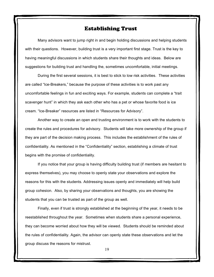#### Establishing Trust

Many advisors want to jump right in and begin holding discussions and helping students with their questions. However, building trust is a very important first stage. Trust is the key to having meaningful discussions in which students share their thoughts and ideas. Below are suggestions for building trust and handling the, sometimes uncomfortable, initial meetings.

During the first several sessions, it is best to stick to low risk activities. These activities are called "Ice-Breakers," because the purpose of these activities is to work past any uncomfortable feelings in fun and exciting ways. For example, students can complete a "trait scavenger hunt" in which they ask each other who has a pet or whose favorite food is ice cream. "Ice-Breaker" resources are listed in "Resources for Advisory".

Another way to create an open and trusting environment is to work with the students to create the rules and procedures for advisory. Students will take more ownership of the group if they are part of the decision making process. This includes the establishment of the rules of confidentiality. As mentioned in the "Confidentiality" section, establishing a climate of trust begins with the promise of confidentiality.

If you notice that your group is having difficulty building trust (if members are hesitant to express themselves), you may choose to openly state your observations and explore the reasons for this with the students. Addressing issues openly and immediately will help build group cohesion. Also, by sharing your observations and thoughts, you are showing the students that you can be trusted as part of the group as well.

Finally, even if trust is strongly established at the beginning of the year, it needs to be reestablished throughout the year. Sometimes when students share a personal experience, they can become worried about how they will be viewed. Students should be reminded about the rules of confidentiality. Again, the advisor can openly state these observations and let the group discuss the reasons for mistrust.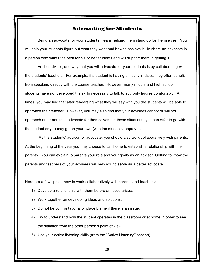#### Advocating for Students

Being an advocate for your students means helping them stand up for themselves. You will help your students figure out what they want and how to achieve it. In short, an advocate is a person who wants the best for his or her students and will support them in getting it.

As the advisor, one way that you will advocate for your students is by collaborating with the students' teachers. For example, if a student is having difficulty in class, they often benefit from speaking directly with the course teacher. However, many middle and high school students have not developed the skills necessary to talk to authority figures comfortably. At times, you may find that after rehearsing what they will say with you the students will be able to approach their teacher. However, you may also find that your advisees cannot or will not approach other adults to advocate for themselves. In these situations, you can offer to go with the student or you may go on your own (with the students' approval).

As the students' advisor, or advocate, you should also work collaboratively with parents. At the beginning of the year you may choose to call home to establish a relationship with the parents. You can explain to parents your role and your goals as an advisor. Getting to know the parents and teachers of your advisees will help you to serve as a better advocate.

Here are a few tips on how to work collaboratively with parents and teachers:

- 1) Develop a relationship with them before an issue arises.
- 2) Work together on developing ideas and solutions.
- 3) Do not be confrontational or place blame if there is an issue.
- 4) Try to understand how the student operates in the classroom or at home in order to see the situation from the other person's point of view.
- 5) Use your active listening skills (from the "Active Listening" section).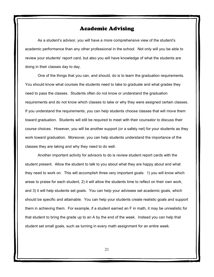### Academic Advising

As a student's advisor, you will have a more comprehensive view of the student's academic performance than any other professional in the school. Not only will you be able to review your students' report card, but also you will have knowledge of what the students are doing in their classes day to day.

One of the things that you can, and should, do is to learn the graduation requirements. You should know what courses the students need to take to graduate and what grades they need to pass the classes. Students often do not know or understand the graduation requirements and do not know which classes to take or why they were assigned certain classes. If you understand the requirements, you can help students choose classes that will move them toward graduation. Students will still be required to meet with their counselor to discuss their course choices. However, you will be another support (or a safety net) for your students as they work toward graduation. Moreover, you can help students understand the importance of the classes they are taking and why they need to do well.

Another important activity for advisors to do is review student report cards with the student present. Allow the student to talk to you about what they are happy about and what they need to work on. This will accomplish three very important goals: 1) you will know which areas to praise for each student, 2) it will allow the students time to reflect on their own work, and 3) it will help students set goals. You can help your advisees set academic goals, which should be specific and attainable. You can help your students create realistic goals and support them in achieving them. For example, if a student earned an F in math, it may be unrealistic for that student to bring the grade up to an A by the end of the week. Instead you can help that student set small goals, such as turning in every math assignment for an entire week.

21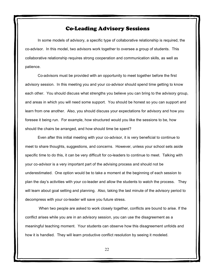### Co-Leading Advisory Sessions

In some models of advisory, a specific type of collaborative relationship is required, the co-advisor. In this model, two advisors work together to oversee a group of students. This collaborative relationship requires strong cooperation and communication skills, as well as patience.

Co-advisors must be provided with an opportunity to meet together before the first advisory session. In this meeting you and your co-advisor should spend time getting to know each other. You should discuss what strengths you believe you can bring to the advisory group, and areas in which you will need some support. You should be honest so you can support and learn from one another. Also, you should discuss your expectations for advisory and how you foresee it being run. For example, how structured would you like the sessions to be, how should the chairs be arranged, and how should time be spent?

Even after this initial meeting with your co-advisor, it is very beneficial to continue to meet to share thoughts, suggestions, and concerns. However, unless your school sets aside specific time to do this, it can be very difficult for co-leaders to continue to meet. Talking with your co-advisor is a very important part of the advising process and should not be underestimated. One option would be to take a moment at the beginning of each session to plan the day's activities with your co-leader and allow the students to watch the process. They will learn about goal setting and planning. Also, taking the last minute of the advisory period to decompress with your co-leader will save you future stress.

When two people are asked to work closely together, conflicts are bound to arise. If the conflict arises while you are in an advisory session, you can use the disagreement as a meaningful teaching moment. Your students can observe how this disagreement unfolds and how it is handled. They will learn productive conflict resolution by seeing it modeled.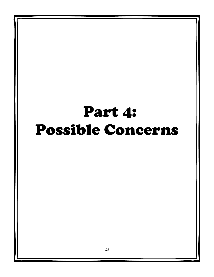## Part 4: Possible Concerns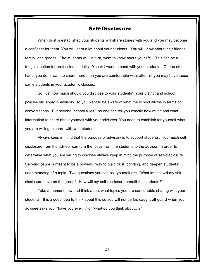#### Self-Disclosure

When trust is established your students will share stories with you and you may become a confidant for them. You will learn a lot about your students. You will know about their friends, family, and grades. The students will, in turn, want to know about your life. This can be a tough situation for professional adults. You will want to bond with your students. On the other hand, you don't want to share more than you are comfortable with, after all, you may have these same students in your academic classes.

So, just how much should you disclose to your students? Your district and school policies still apply in advisory, so you want to be aware of what the school allows in terms of conversations. But beyond "school rules," no one can tell you exactly how much and what information to share about yourself with your advisees. You need to establish for yourself what you are willing to share with your students.

Always keep in mind that the purpose of advisory is to support students. Too much selfdisclosure from the advisor can turn the focus from the students to the advisor. In order to determine what you are willing to disclose always keep in mind the purpose of self-disclosure. Self-disclosure is meant to be a powerful way to build trust, bonding, and deepen students' understanding of a topic. Two questions you can ask yourself are, "What impact will my selfdisclosure have on the group? How will my self-disclosure benefit the students?"

Take a moment now and think about what topics you are comfortable sharing with your students. It is a good idea to think about this so you will not be *too* caught off guard when your advisee asks you, "have you ever…" or "what do you think about…?"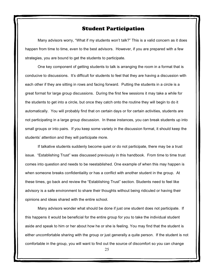#### Student Participation

Many advisors worry, "What if my students won't talk?" This is a valid concern as it does happen from time to time, even to the best advisors. However, if you are prepared with a few strategies, you are bound to get the students to participate.

One key component of getting students to talk is arranging the room in a format that is conducive to discussions. It's difficult for students to feel that they are having a discussion with each other if they are sitting in rows and facing forward. Putting the students in a circle is a great format for large group discussions. During the first few sessions it may take a while for the students to get into a circle, but once they catch onto the routine they will begin to do it automatically. You will probably find that on certain days or for certain activities, students are not participating in a large group discussion. In these instances, you can break students up into small groups or into pairs. If you keep some variety in the discussion format, it should keep the students' attention and they will participate more.

If talkative students suddenly become quiet or do not participate, there may be a trust issue. "Establishing Trust" was discussed previously in this handbook. From time to time trust comes into question and needs to be reestablished. One example of when this may happen is when someone breaks confidentiality or has a conflict with another student in the group. At these times, go back and review the "Establishing Trust" section. Students need to feel like advisory is a safe environment to share their thoughts without being ridiculed or having their opinions and ideas shared with the entire school.

Many advisors wonder what should be done if just one student does not participate. If this happens it would be beneficial for the entire group for you to take the individual student aside and speak to him or her about how he or she is feeling. You may find that the student is either uncomfortable sharing with the group or just generally a quite person. If the student is not comfortable in the group, you will want to find out the source of discomfort so you can change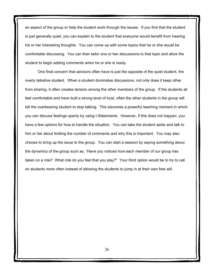an aspect of the group or help the student work through the issues. If you find that the student is just generally quiet, you can explain to the student that everyone would benefit from hearing his or her interesting thoughts. You can come up with some topics that he or she would be comfortable discussing. You can then tailor one or two discussions to that topic and allow the student to begin adding comments when he or she is ready.

One final concern that advisors often have is just the opposite of the quiet student, the overly talkative student. When a student dominates discussions, not only does it keep other from sharing, it often creates tension among the other members of the group. If the students all feel comfortable and have built a strong level of trust, often the other students in the group will tell the overbearing student to stop talking. This becomes a powerful teaching moment in which you can discuss feelings openly by using I-Statements. However, if this does not happen, you have a few options for how to handle the situation. You can take the student aside and talk to him or her about limiting the number of comments and why this is important. You may also choose to bring up the issue to the group. You can start a session by saying something about the dynamics of the group such as, "Have you noticed how each member of our group has taken on a role? What role do you feel that you play?" Your third option would be to try to call on students more often instead of allowing the students to jump in at their own free will.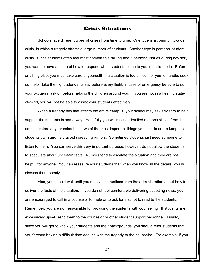#### Crisis Situations

Schools face different types of crises from time to time. One type is a community-wide crisis, in which a tragedy affects a large number of students. Another type is personal student crisis. Since students often feel most comfortable talking about personal issues during advisory, you want to have an idea of how to respond when students come to you in crisis mode. Before anything else, you must take care of yourself! If a situation is too difficult for you to handle, seek out help. Like the flight attendants say before every flight, in case of emergency be sure to put your oxygen mask on before helping the children around you. If you are not in a healthy stateof-mind, you will not be able to assist your students effectively.

When a tragedy hits that affects the entire campus, your school may ask advisors to help support the students in some way. Hopefully you will receive detailed responsibilities from the administrators at your school, but two of the most important things you can do are to keep the students calm and help avoid spreading rumors. Sometimes students just need someone to listen to them. You can serve this very important purpose, however, do not allow the students to speculate about uncertain facts. Rumors tend to escalate the situation and they are not helpful for anyone. You can reassure your students that when you know all the details, you will discuss them openly.

Also, you should wait until you receive instructions from the administration about how to deliver the facts of the situation. If you do not feel comfortable delivering upsetting news, you are encouraged to call in a counselor for help or to ask for a script to read to the students. Remember, you are not responsible for providing the students with counseling. If students are excessively upset, send them to the counselor or other student support personnel. Finally, since you will get to know your students and their backgrounds, you should refer students that you foresee having a difficult time dealing with the tragedy to the counselor. For example, if you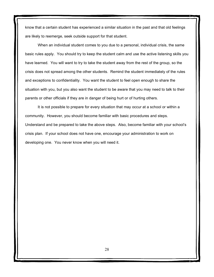know that a certain student has experienced a similar situation in the past and that old feelings are likely to reemerge, seek outside support for that student.

When an individual student comes to you due to a personal, individual crisis, the same basic rules apply. You should try to keep the student calm and use the active listening skills you have learned. You will want to try to take the student away from the rest of the group, so the crisis does not spread among the other students. Remind the student immediately of the rules and exceptions to confidentiality. You want the student to feel open enough to share the situation with you, but you also want the student to be aware that you may need to talk to their parents or other officials if they are in danger of being hurt or of hurting others.

It is not possible to prepare for every situation that may occur at a school or within a community. However, you should become familiar with basic procedures and steps. Understand and be prepared to take the above steps. Also, become familiar with your school's crisis plan. If your school does not have one, encourage your administration to work on developing one. You never know when you will need it.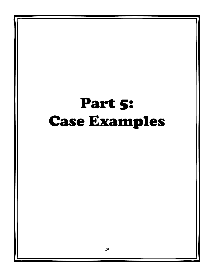## Part 5: Case Examples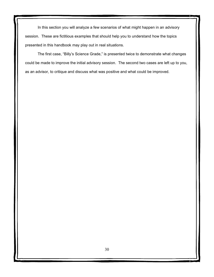In this section you will analyze a few scenarios of what might happen in an advisory session. These are fictitious examples that should help you to understand how the topics presented in this handbook may play out in real situations.

The first case, "Billy's Science Grade," is presented twice to demonstrate what changes could be made to improve the initial advisory session. The second two cases are left up to you, as an advisor, to critique and discuss what was positive and what could be improved.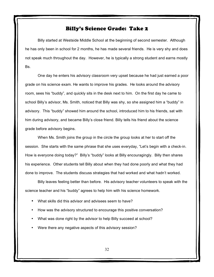#### Billy's Science Grade: Take 2

Billy started at Westside Middle School at the beginning of second semester. Although he has only been in school for 2 months, he has made several friends. He is very shy and does not speak much throughout the day. However, he is typically a strong student and earns mostly Bs.

One day he enters his advisory classroom very upset because he had just earned a poor grade on his science exam. He wants to improve his grades. He looks around the advisory room, sees his "buddy", and quickly sits in the desk next to him. On the first day he came to school Billy's advisor, Ms. Smith, noticed that Billy was shy, so she assigned him a "buddy" in advisory. This "buddy" showed him around the school, introduced him to his friends, sat with him during advisory, and became Billy's close friend. Billy tells his friend about the science grade before advisory begins.

When Ms. Smith joins the group in the circle the group looks at her to start off the session. She starts with the same phrase that she uses everyday, "Let's begin with a check-in. How is everyone doing today?" Billy's "buddy" looks at Billy encouragingly. Billy then shares his experience. Other students tell Billy about when they had done poorly and what they had done to improve. The students discuss strategies that had worked and what hadn't worked.

Billy leaves feeling better than before. His advisory teacher volunteers to speak with the science teacher and his "buddy" agrees to help him with his science homework.

- What skills did this advisor and advisees seem to have?
- How was the advisory structured to encourage this positive conversation?
- What was done right by the advisor to help Billy succeed at school?
- Were there any negative aspects of this advisory session?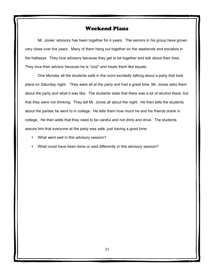## Weekend Plans

Mr. Jones' advisory has been together for 4 years. The seniors in his group have grown very close over the years. Many of them hang out together on the weekends and socialize in the hallways. They love advisory because they get to be together and talk about their lives. They love their advisor because he is "cool" and treats them like equals.

One Monday all the students walk in the room excitedly talking about a party that took place on Saturday night. They were all at the party and had a great time. Mr. Jones asks them about the party and what it was like. The students state that there was a lot of alcohol there, but that they were not drinking. They tell Mr. Jones all about the night. He then tells the students about the parties he went to in college. He tells them how much he and his friends drank in college. He then adds that they need to be careful and not drink and drive. The students assure him that everyone at the party was safe, just having a good time.

- What went well in this advisory session?
- What could have been done or said differently in this advisory session?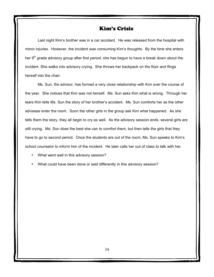#### Kim's Crisis

Last night Kim's brother was in a car accident. He was released from the hospital with minor injuries. However, the incident was consuming Kim's thoughts. By the time she enters her  $9<sup>th</sup>$  grade advisory group after first period, she has begun to have a break down about the incident. She walks into advisory crying. She throws her backpack on the floor and flings herself into the chair.

Ms. Sun, the advisor, has formed a very close relationship with Kim over the course of the year. She notices that Kim was not herself. Ms. Sun asks Kim what is wrong. Through her tears Kim tells Ms. Sun the story of her brother's accident. Ms. Sun comforts her as the other advisees enter the room. Soon the other girls in the group ask Kim what happened. As she tells them the story, they all begin to cry as well. As the advisory session ends, several girls are still crying. Ms. Sun does the best she can to comfort them, but then tells the girls that they have to go to second period. Once the students are out of the room, Ms. Sun speaks to Kim's school counselor to inform him of the incident. He later calls her out of class to talk with her.

- What went well in this advisory session?
- What could have been done or said differently in this advisory session?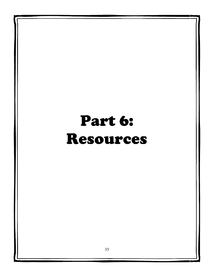## Part 6: Resources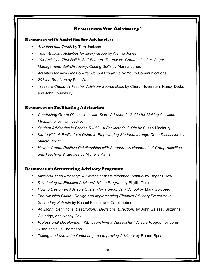## Resources for Advisory`

#### Resources with Activities for Advisories:

- *Activities that Teach* by Tom Jackson
- *Team-Building Activities for Every Group* by Alanna Jones
- *104 Activities That Build: Self-Esteem, Teamwork, Communication, Anger Management, Self-Discovery, Coping Skills* by Alanna Jones
- *Activities for Advisories & After School Programs* by Youth Communications
- *201 Ice Breakers* by Edie West
- *Treasure Chest: A Teacher Advisory Source Book* by Cheryl Hoversten, Nancy Doda, and John Lounsbury

#### Resources on Facilitating Advisories:

- *Conducting Group Discussions with Kids: A Leader's Guide for Making Activities Meaningful* by Tom Jackson
- *Student Advisories in Grades 5 – 12: A Facilitator's Guide* by Susan Maclaury
- *Kid-to-Kid: A Facilitator's Guide to Empowering Students through Open Discussion* by Marcia Rogat
- *How to Create Positive Relationships with Students: A Handbook of Group Activities and Teaching Strategies* by Michelle Karns

#### Resources on Structuring Advisory Programs:

- *Mission-Based Advisory: A Professional Development Manual* by Roger Dillow
- *Developing an Effective Advisor/Advisee Program* by Phyllis Dale
- *How to Design an Advisory System for a Secondary School* by Mark Goldberg
- *The Advising Guide: Design and Implementing Effective Advisory Programs in Secondary Schools* by Rachel Poliner and Carol Lieber
- *Advisory: Definitions, Descriptions, Decisions, Directions* by John Galassi, Suzanne Gulledge, and Nancy Cox
- *Professional Development Kit: Launching a Successful Advisory Program* by John Niska and Sue Thompson
- *Taking the Lead in Implementing and Improving Advisory* by Robert Spear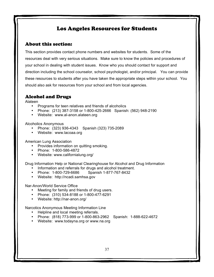## Los Angeles Resources for Students

#### About this section:

This section provides contact phone numbers and websites for students. Some of the resources deal with very serious situations. Make sure to know the policies and procedures of your school in dealing with student issues. Know who you should contact for support and direction including the school counselor, school psychologist, and/or principal. You can provide these resources to students after you have taken the appropriate steps within your school. You should also ask for resources from your school and from local agencies.

## Alcohol and Drugs

Alateen

- Programs for teen relatives and friends of alcoholics
- Phone: (213) 387-3158 or 1-800-425-2666 Spanish: (562) 948-2190
- Website: www.al-anon.alateen.org

Alcoholics Anonymous

- Phone: (323) 936-4343 Spanish (323) 735-2089
- Website: www.lacoaa.org

American Lung Association

- Provides information on quitting smoking.
- Phone: 1-800-586-4872
- Website: www.californialung.org/

Drug Information Help or National Clearinghouse for Alcohol and Drug Information

- Information and referrals for drugs and alcohol treatment.
- Phone: 1-800-729-6686 Spanish 1-877-767-8432
- Website: http://ncadi.samhsa.gov

Nar-Anon/World Service Office

- Meeting for family and friends of drug users.
- Phone: (310) 534-8188 or 1-800-477-6291
- Website: http://nar-anon.org/

Narcotics Anonymous Meeting Information Line

- Helpline and local meeting referrals.
- Phone: (818) 773-999 or 1-800-863-2962 Spanish: 1-888-622-4672
- Website: www.todayna.org or www.na.org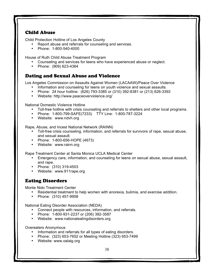#### Child Abuse

Child Protection Hotline of Los Angeles County

- Report abuse and referrals for counseling and services.
- Phone: 1-800-540-4000

House of Ruth Child Abuse Treatment Program

- Counseling and services for teens who have experienced abuse or neglect.
- Phone: (909) 623-4364

## Dating and Sexual Abuse and Violence

Los Angeles Commission on Assaults Against Women (LACAAW)/Peace Over Violence

- Information and counseling for teens on youth violence and sexual assaults.
- Phone: 24 hour hotline: (626) 793-3385 or (310) 392-8381 or (213) 626-3393
- Website: http://www.peaceoverviolence.org/

National Domestic Violence Hotline

- Toll-free hotline with crisis counseling and referrals to shelters and other local programs.
- Phone: 1-800-799-SAFE(7233) TTY Line: 1-800-787-3224
- Website: www.ndvh.org

Rape, Abuse, and Incest National Network (RAINN)

- Toll-free crisis counseling, information, and referrals for survivors of rape, sexual abuse, and sexual assault.
- Phone: 1-800-656-HOPE (4673)
- Website: www.rainn.org

Rape Treatment Center at Santa Monica UCLA Medical Center

- Emergency care, information, and counseling for teens on sexual abuse, sexual assault, and rape.
- Phone: (310) 319-4503
- Website: www.911rape.org

## Eating Disorders

Monte Nido Treatment Center

- Residential treatment to help women with anorexia, bulimia, and exercise addition.
- Phone: (310) 457-9958

National Eating Disorder Association (NEDA)

- Connect people with resources, information, and referrals.
- Phone: 1-800-931-2237 or (206) 382-3587
- Website: www.nationaleatingdisorders.org

Overeaters Anonymous

- Information and referrals for all types of eating disorders.
- Phone: (323) 653-7652 or Meeting Hotline (323) 653-7499
- Website: www.oalaig.org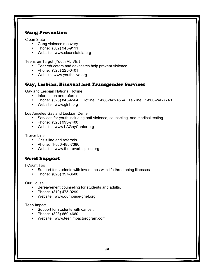## Gang Prevention

Clean Slate

- Gang violence recovery.
- Phone: (562) 945-9111
- Website: www.cleanslatela.org

Teens on Target (Youth ALIVE!)

- Peer educators and advocates help prevent violence.
- Phone: (323) 225-0401
- Website: www.youthalive.org

#### Gay, Lesbian, Bisexual and Transgender Services

Gay and Lesbian National Hotline

- Information and referrals.
- Phone: (323) 843-4564 Hotline: 1-888-843-4564 Talkline: 1-800-246-7743
- Website: www.glnh.org

Los Angeles Gay and Lesbian Center

- Services for youth including anti-violence, counseling, and medical testing.
- Phone: (323) 993-7400
- Website: www.LAGayCenter.org

Trevor Line

- Crisis line and referrals.
- Phone: 1-866-488-7386
- Website: www.thetrevorhelpline.org

## Grief Support

I Count Too

- Support for students with loved ones with life threatening illnesses.
- Phone: (626) 397-3600

Our House

- Bereavement counseling for students and adults.
- Phone: (310) 475-0299
- Website: www.ourhouse-grief.org

Teen Impact

- Support for students with cancer.
- Phone: (323) 669-4660
- Website: www.teenimpactprogram.com